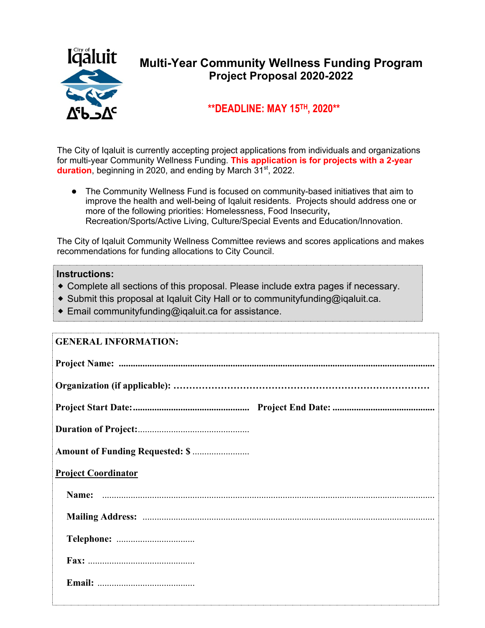

## **Multi-Year Community Wellness Funding Program Project Proposal 2020-2022**

### **\*\*DEADLINE: MAY 15TH, 2020\*\***

The City of Iqaluit is currently accepting project applications from individuals and organizations for multi-year Community Wellness Funding. **This application is for projects with a 2-year duration**, beginning in 2020, and ending by March 31<sup>st</sup>, 2022.

● The Community Wellness Fund is focused on community-based initiatives that aim to improve the health and well-being of Iqaluit residents. Projects should address one or more of the following priorities: Homelessness, Food Insecurity**,** Recreation/Sports/Active Living, Culture/Special Events and Education/Innovation.

The City of Iqaluit Community Wellness Committee reviews and scores applications and makes recommendations for funding allocations to City Council.

#### **Instructions:**

- ⬥ Complete all sections of this proposal. Please include extra pages if necessary.
- ◆ Submit this proposal at Iqaluit City Hall or to communityfunding@iqaluit.ca.
- $\bullet$  Email communityfunding@igaluit.ca for assistance.

# **GENERAL INFORMATION: Project Name: ..................................................................................................................................... Organization (if applicable): ……………………………………………………………………… Project Start Date: ................................................. Project End Date: ........................................... Duration of Project:** ............................................... **Amount of Funding Requested: \$** ........................ **Project Coordinator Name:** ............................................................................................................................................ **Mailing Address:** ........................................................................................................................... **Telephone:** ................................. **Fax:** ............................................. **Email:** .........................................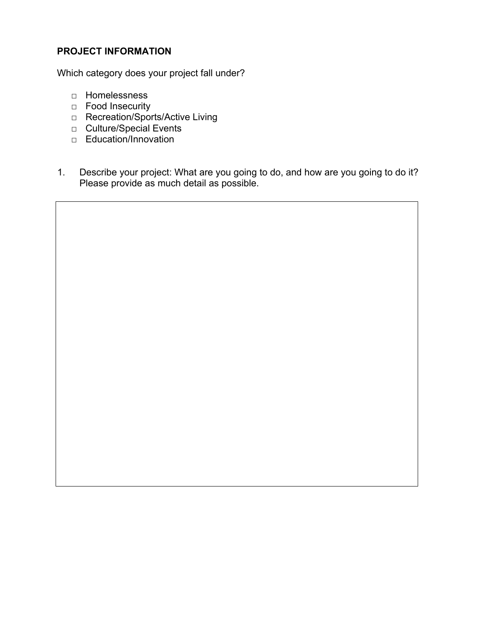#### **PROJECT INFORMATION**

Which category does your project fall under?

- □ Homelessness
- □ Food Insecurity
- □ Recreation/Sports/Active Living
- □ Culture/Special Events
- □ Education/Innovation
- 1. Describe your project: What are you going to do, and how are you going to do it? Please provide as much detail as possible.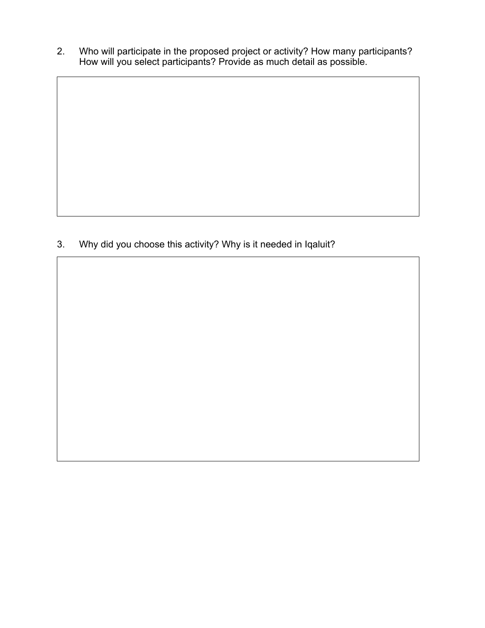2. Who will participate in the proposed project or activity? How many participants? How will you select participants? Provide as much detail as possible.

3. Why did you choose this activity? Why is it needed in Iqaluit?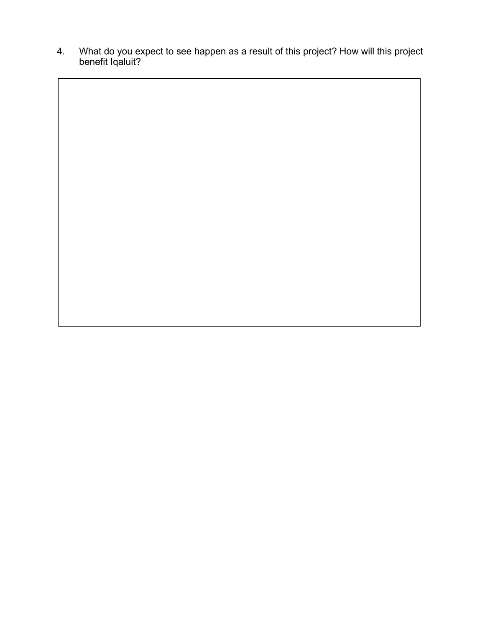4. What do you expect to see happen as a result of this project? How will this project benefit Iqaluit?